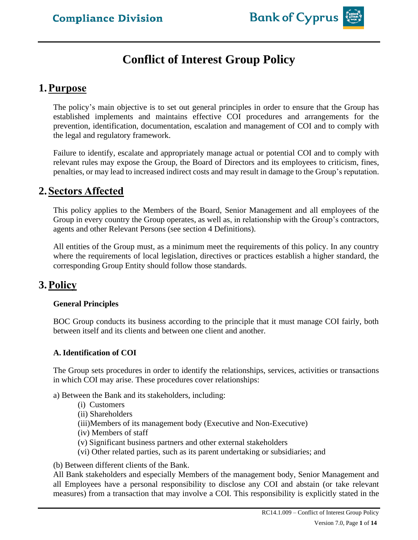# **Conflict of Interest Group Policy**

# **1.Purpose**

The policy's main objective is to set out general principles in order to ensure that the Group has established implements and maintains effective COI procedures and arrangements for the prevention, identification, documentation, escalation and management of COI and to comply with the legal and regulatory framework.

Failure to identify, escalate and appropriately manage actual or potential COI and to comply with relevant rules may expose the Group, the Board of Directors and its employees to criticism, fines, penalties, or may lead to increased indirect costs and may result in damage to the Group's reputation.

# **2.Sectors Affected**

This policy applies to the Members of the Board, Senior Management and all employees of the Group in every country the Group operates, as well as, in relationship with the Group's contractors, agents and other Relevant Persons (see section 4 Definitions).

All entities of the Group must, as a minimum meet the requirements of this policy. In any country where the requirements of local legislation, directives or practices establish a higher standard, the corresponding Group Entity should follow those standards.

# **3.Policy**

# **General Principles**

BOC Group conducts its business according to the principle that it must manage COI fairly, both between itself and its clients and between one client and another.

# **A. Identification of COI**

The Group sets procedures in order to identify the relationships, services, activities or transactions in which COI may arise. These procedures cover relationships:

a) Between the Bank and its stakeholders, including:

- (i) Customers
- (ii) Shareholders
- (iii)Members of its management body (Executive and Non-Executive)
- (iv) Members of staff
- (v) Significant business partners and other external stakeholders
- (vi) Other related parties, such as its parent undertaking or subsidiaries; and

(b) Between different clients of the Bank.

All Bank stakeholders and especially Members of the management body, Senior Management and all Employees have a personal responsibility to disclose any COI and abstain (or take relevant measures) from a transaction that may involve a COI. This responsibility is explicitly stated in the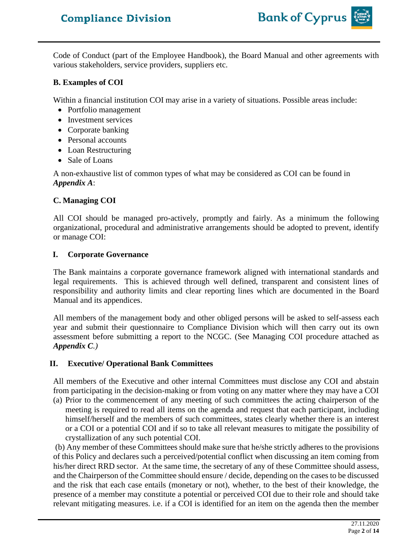

Code of Conduct (part of the Employee Handbook), the Board Manual and other agreements with various stakeholders, service providers, suppliers etc.

#### **B. Examples of COI**

Within a financial institution COI may arise in a variety of situations. Possible areas include:

- Portfolio management
- Investment services
- Corporate banking
- Personal accounts
- Loan Restructuring
- Sale of Loans

A non-exhaustive list of common types of what may be considered as COI can be found in *Appendix A*:

# **C. Managing COI**

All COI should be managed pro-actively, promptly and fairly. As a minimum the following organizational, procedural and administrative arrangements should be adopted to prevent, identify or manage COI:

# **I. Corporate Governance**

The Bank maintains a corporate governance framework aligned with international standards and legal requirements. This is achieved through well defined, transparent and consistent lines of responsibility and authority limits and clear reporting lines which are documented in the Board Manual and its appendices.

All members of the management body and other obliged persons will be asked to self-assess each year and submit their questionnaire to Compliance Division which will then carry out its own assessment before submitting a report to the NCGC. (See Managing COI procedure attached as *Appendix C.)*

# **II. Executive/ Operational Bank Committees**

All members of the Executive and other internal Committees must disclose any COI and abstain from participating in the decision-making or from voting on any matter where they may have a COI

(a) Prior to the commencement of any meeting of such committees the acting chairperson of the meeting is required to read all items on the agenda and request that each participant, including himself/herself and the members of such committees, states clearly whether there is an interest or a COI or a potential COI and if so to take all relevant measures to mitigate the possibility of crystallization of any such potential COI.

(b) Any member of these Committees should make sure that he/she strictly adheres to the provisions of this Policy and declares such a perceived/potential conflict when discussing an item coming from his/her direct RRD sector. At the same time, the secretary of any of these Committee should assess, and the Chairperson of the Committee should ensure / decide, depending on the cases to be discussed and the risk that each case entails (monetary or not), whether, to the best of their knowledge, the presence of a member may constitute a potential or perceived COI due to their role and should take relevant mitigating measures. i.e. if a COI is identified for an item on the agenda then the member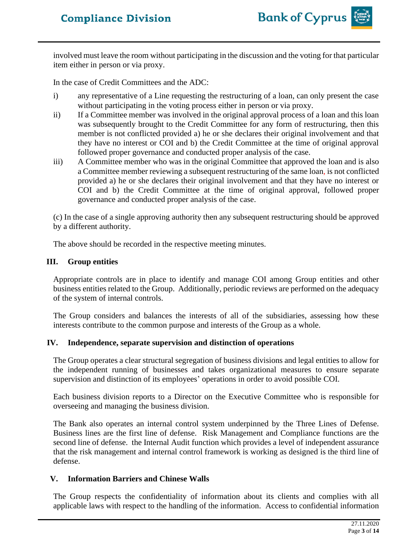

involved must leave the room without participating in the discussion and the voting for that particular item either in person or via proxy.

In the case of Credit Committees and the ADC:

- i) any representative of a Line requesting the restructuring of a loan, can only present the case without participating in the voting process either in person or via proxy.
- ii) If a Committee member was involved in the original approval process of a loan and this loan was subsequently brought to the Credit Committee for any form of restructuring, then this member is not conflicted provided a) he or she declares their original involvement and that they have no interest or COI and b) the Credit Committee at the time of original approval followed proper governance and conducted proper analysis of the case.
- iii) A Committee member who was in the original Committee that approved the loan and is also a Committee member reviewing a subsequent restructuring of the same loan, is not conflicted provided a) he or she declares their original involvement and that they have no interest or COI and b) the Credit Committee at the time of original approval, followed proper governance and conducted proper analysis of the case.

(c) In the case of a single approving authority then any subsequent restructuring should be approved by a different authority.

The above should be recorded in the respective meeting minutes.

#### **III. Group entities**

Appropriate controls are in place to identify and manage COI among Group entities and other business entities related to the Group. Additionally, periodic reviews are performed on the adequacy of the system of internal controls.

The Group considers and balances the interests of all of the subsidiaries, assessing how these interests contribute to the common purpose and interests of the Group as a whole.

#### **IV. Independence, separate supervision and distinction of operations**

The Group operates a clear structural segregation of business divisions and legal entities to allow for the independent running of businesses and takes organizational measures to ensure separate supervision and distinction of its employees' operations in order to avoid possible COI.

Each business division reports to a Director on the Executive Committee who is responsible for overseeing and managing the business division.

The Bank also operates an internal control system underpinned by the Three Lines of Defense. Business lines are the first line of defense. Risk Management and Compliance functions are the second line of defense. the Internal Audit function which provides a level of independent assurance that the risk management and internal control framework is working as designed is the third line of defense.

#### **V. Information Barriers and Chinese Walls**

The Group respects the confidentiality of information about its clients and complies with all applicable laws with respect to the handling of the information. Access to confidential information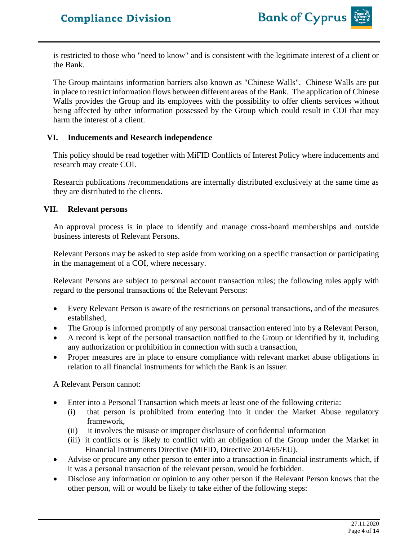

is restricted to those who "need to know" and is consistent with the legitimate interest of a client or the Bank.

The Group maintains information barriers also known as "Chinese Walls". Chinese Walls are put in place to restrict information flows between different areas of the Bank. The application of Chinese Walls provides the Group and its employees with the possibility to offer clients services without being affected by other information possessed by the Group which could result in COI that may harm the interest of a client.

#### **VI. Inducements and Research independence**

This policy should be read together with MiFID Conflicts of Interest Policy where inducements and research may create COI.

Research publications /recommendations are internally distributed exclusively at the same time as they are distributed to the clients.

#### **VII. Relevant persons**

An approval process is in place to identify and manage cross-board memberships and outside business interests of Relevant Persons.

Relevant Persons may be asked to step aside from working on a specific transaction or participating in the management of a COI, where necessary.

Relevant Persons are subject to personal account transaction rules; the following rules apply with regard to the personal transactions of the Relevant Persons:

- Every Relevant Person is aware of the restrictions on personal transactions, and of the measures established,
- The Group is informed promptly of any personal transaction entered into by a Relevant Person,
- A record is kept of the personal transaction notified to the Group or identified by it, including any authorization or prohibition in connection with such a transaction,
- Proper measures are in place to ensure compliance with relevant market abuse obligations in relation to all financial instruments for which the Bank is an issuer.

A Relevant Person cannot:

- Enter into a Personal Transaction which meets at least one of the following criteria:
	- (i) that person is prohibited from entering into it under the Market Abuse regulatory framework,
	- (ii) it involves the misuse or improper disclosure of confidential information
	- (iii) it conflicts or is likely to conflict with an obligation of the Group under the Market in Financial Instruments Directive (MiFID, Directive 2014/65/EU).
- Advise or procure any other person to enter into a transaction in financial instruments which, if it was a personal transaction of the relevant person, would be forbidden.
- Disclose any information or opinion to any other person if the Relevant Person knows that the other person, will or would be likely to take either of the following steps: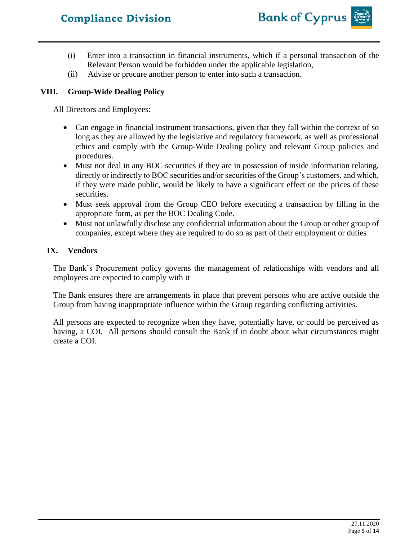

- (i) Enter into a transaction in financial instruments, which if a personal transaction of the Relevant Person would be forbidden under the applicable legislation,
- (ii) Advise or procure another person to enter into such a transaction.

#### **VIII. Group-Wide Dealing Policy**

All Directors and Employees:

- Can engage in financial instrument transactions, given that they fall within the context of so long as they are allowed by the legislative and regulatory framework, as well as professional ethics and comply with the Group-Wide Dealing policy and relevant Group policies and procedures.
- Must not deal in any BOC securities if they are in possession of inside information relating, directly or indirectly to BOC securities and/or securities of the Group's customers, and which, if they were made public, would be likely to have a significant effect on the prices of these securities.
- Must seek approval from the Group CEO before executing a transaction by filling in the appropriate form, as per the BOC Dealing Code.
- Must not unlawfully disclose any confidential information about the Group or other group of companies, except where they are required to do so as part of their employment or duties

#### **IX. Vendors**

The Bank's Procurement policy governs the management of relationships with vendors and all employees are expected to comply with it

The Bank ensures there are arrangements in place that prevent persons who are active outside the Group from having inappropriate influence within the Group regarding conflicting activities.

All persons are expected to recognize when they have, potentially have, or could be perceived as having, a COI. All persons should consult the Bank if in doubt about what circumstances might create a COI.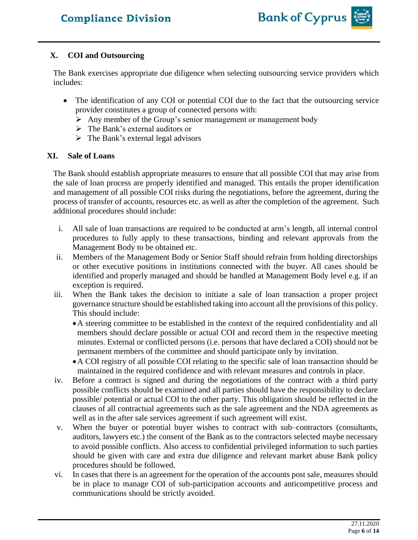

# **X. COI and Outsourcing**

The Bank exercises appropriate due diligence when selecting outsourcing service providers which includes:

- The identification of any COI or potential COI due to the fact that the outsourcing service provider constitutes a group of connected persons with:
	- ➢ Any member of the Group's senior management or management body
	- $\triangleright$  The Bank's external auditors or
	- $\triangleright$  The Bank's external legal advisors

# **XI. Sale of Loans**

The Bank should establish appropriate measures to ensure that all possible COI that may arise from the sale of loan process are properly identified and managed. This entails the proper identification and management of all possible COI risks during the negotiations, before the agreement, during the process of transfer of accounts, resources etc. as well as after the completion of the agreement. Such additional procedures should include:

- i. All sale of loan transactions are required to be conducted at arm's length, all internal control procedures to fully apply to these transactions, binding and relevant approvals from the Management Body to be obtained etc.
- ii. Members of the Management Body or Senior Staff should refrain from holding directorships or other executive positions in institutions connected with the buyer. All cases should be identified and properly managed and should be handled at Management Body level e.g. if an exception is required.
- iii. When the Bank takes the decision to initiate a sale of loan transaction a proper project governance structure should be established taking into account all the provisions of this policy. This should include:
	- •A steering committee to be established in the context of the required confidentiality and all members should declare possible or actual COI and record them in the respective meeting minutes. External or conflicted persons (i.e. persons that have declared a COI) should not be permanent members of the committee and should participate only by invitation.
	- •A COI registry of all possible COI relating to the specific sale of loan transaction should be maintained in the required confidence and with relevant measures and controls in place.
- iv. Before a contract is signed and during the negotiations of the contract with a third party possible conflicts should be examined and all parties should have the responsibility to declare possible/ potential or actual COI to the other party. This obligation should be reflected in the clauses of all contractual agreements such as the sale agreement and the NDA agreements as well as in the after sale services agreement if such agreement will exist.
- v. When the buyer or potential buyer wishes to contract with sub–contractors (consultants, auditors, lawyers etc.) the consent of the Bank as to the contractors selected maybe necessary to avoid possible conflicts. Also access to confidential privileged information to such parties should be given with care and extra due diligence and relevant market abuse Bank policy procedures should be followed.
- vi. In cases that there is an agreement for the operation of the accounts post sale, measures should be in place to manage COI of sub-participation accounts and anticompetitive process and communications should be strictly avoided.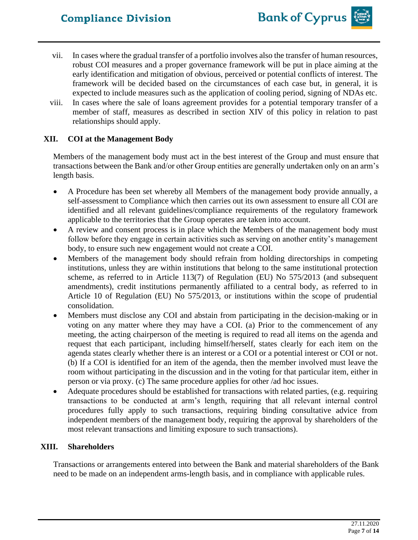- vii. In cases where the gradual transfer of a portfolio involves also the transfer of human resources, robust COI measures and a proper governance framework will be put in place aiming at the early identification and mitigation of obvious, perceived or potential conflicts of interest. The framework will be decided based on the circumstances of each case but, in general, it is expected to include measures such as the application of cooling period, signing of NDAs etc.
- viii. In cases where the sale of loans agreement provides for a potential temporary transfer of a member of staff, measures as described in section XIV of this policy in relation to past relationships should apply.

# **XII. COI at the Management Body**

Members of the management body must act in the best interest of the Group and must ensure that transactions between the Bank and/or other Group entities are generally undertaken only on an arm's length basis.

- A Procedure has been set whereby all Members of the management body provide annually, a self-assessment to Compliance which then carries out its own assessment to ensure all COI are identified and all relevant guidelines/compliance requirements of the regulatory framework applicable to the territories that the Group operates are taken into account.
- A review and consent process is in place which the Members of the management body must follow before they engage in certain activities such as serving on another entity's management body, to ensure such new engagement would not create a COI.
- Members of the management body should refrain from holding directorships in competing institutions, unless they are within institutions that belong to the same institutional protection scheme, as referred to in Article 113(7) of Regulation (EU) No 575/2013 (and subsequent amendments), credit institutions permanently affiliated to a central body, as referred to in Article 10 of Regulation (EU) No 575/2013, or institutions within the scope of prudential consolidation.
- Members must disclose any COI and abstain from participating in the decision-making or in voting on any matter where they may have a COI. (a) Prior to the commencement of any meeting, the acting chairperson of the meeting is required to read all items on the agenda and request that each participant, including himself/herself, states clearly for each item on the agenda states clearly whether there is an interest or a COI or a potential interest or COI or not. (b) If a COI is identified for an item of the agenda, then the member involved must leave the room without participating in the discussion and in the voting for that particular item, either in person or via proxy. (c) The same procedure applies for other /ad hoc issues.
- Adequate procedures should be established for transactions with related parties, (e.g. requiring transactions to be conducted at arm's length, requiring that all relevant internal control procedures fully apply to such transactions, requiring binding consultative advice from independent members of the management body, requiring the approval by shareholders of the most relevant transactions and limiting exposure to such transactions).

# **XIII. Shareholders**

Transactions or arrangements entered into between the Bank and material shareholders of the Bank need to be made on an independent arms-length basis, and in compliance with applicable rules.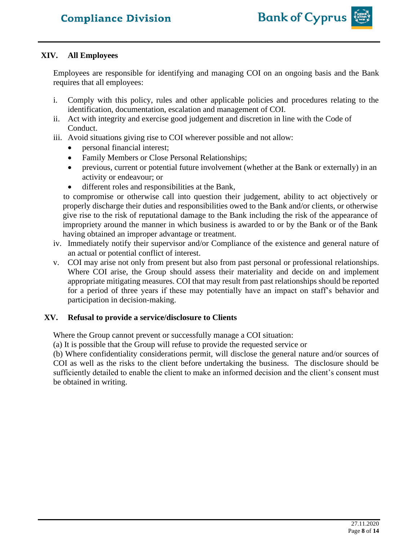

#### **XIV. All Employees**

Employees are responsible for identifying and managing COI on an ongoing basis and the Bank requires that all employees:

- i. Comply with this policy, rules and other applicable policies and procedures relating to the identification, documentation, escalation and management of COI.
- ii. Act with integrity and exercise good judgement and discretion in line with the Code of Conduct.
- iii. Avoid situations giving rise to COI wherever possible and not allow:
	- personal financial interest;
	- Family Members or Close Personal Relationships;
	- previous, current or potential future involvement (whether at the Bank or externally) in an activity or endeavour; or
	- different roles and responsibilities at the Bank,

to compromise or otherwise call into question their judgement, ability to act objectively or properly discharge their duties and responsibilities owed to the Bank and/or clients, or otherwise give rise to the risk of reputational damage to the Bank including the risk of the appearance of impropriety around the manner in which business is awarded to or by the Bank or of the Bank having obtained an improper advantage or treatment.

- iv. Immediately notify their supervisor and/or Compliance of the existence and general nature of an actual or potential conflict of interest.
- v. COI may arise not only from present but also from past personal or professional relationships. Where COI arise, the Group should assess their materiality and decide on and implement appropriate mitigating measures. COI that may result from past relationships should be reported for a period of three years if these may potentially have an impact on staff's behavior and participation in decision-making.

#### **XV. Refusal to provide a service/disclosure to Clients**

Where the Group cannot prevent or successfully manage a COI situation:

(a) It is possible that the Group will refuse to provide the requested service or

(b) Where confidentiality considerations permit, will disclose the general nature and/or sources of COI as well as the risks to the client before undertaking the business. The disclosure should be sufficiently detailed to enable the client to make an informed decision and the client's consent must be obtained in writing.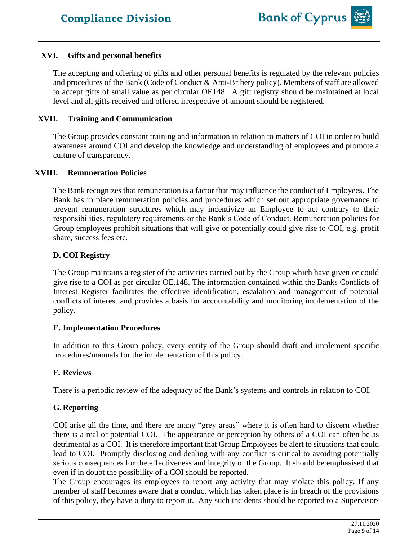#### **XVI. Gifts and personal benefits**

The accepting and offering of gifts and other personal benefits is regulated by the relevant policies and procedures of the Bank (Code of Conduct & Anti-Bribery policy). Members of staff are allowed to accept gifts of small value as per circular OE148. A gift registry should be maintained at local level and all gifts received and offered irrespective of amount should be registered.

#### **XVII. Training and Communication**

The Group provides constant training and information in relation to matters of COI in order to build awareness around COI and develop the knowledge and understanding of employees and promote a culture of transparency.

#### **XVIII. Remuneration Policies**

The Bank recognizes that remuneration is a factor that may influence the conduct of Employees. The Bank has in place remuneration policies and procedures which set out appropriate governance to prevent remuneration structures which may incentivize an Employee to act contrary to their responsibilities, regulatory requirements or the Bank's Code of Conduct. Remuneration policies for Group employees prohibit situations that will give or potentially could give rise to COI, e.g. profit share, success fees etc.

#### **D. COI Registry**

The Group maintains a register of the activities carried out by the Group which have given or could give rise to a COI as per circular OE.148. The information contained within the Banks Conflicts of Interest Register facilitates the effective identification, escalation and management of potential conflicts of interest and provides a basis for accountability and monitoring implementation of the policy.

#### **E. Implementation Procedures**

In addition to this Group policy, every entity of the Group should draft and implement specific procedures/manuals for the implementation of this policy.

# **F. Reviews**

There is a periodic review of the adequacy of the Bank's systems and controls in relation to COI.

# **G. Reporting**

COI arise all the time, and there are many "grey areas" where it is often hard to discern whether there is a real or potential COI. The appearance or perception by others of a COI can often be as detrimental as a COI. It is therefore important that Group Employees be alert to situations that could lead to COI. Promptly disclosing and dealing with any conflict is critical to avoiding potentially serious consequences for the effectiveness and integrity of the Group. It should be emphasised that even if in doubt the possibility of a COI should be reported.

The Group encourages its employees to report any activity that may violate this policy. If any member of staff becomes aware that a conduct which has taken place is in breach of the provisions of this policy, they have a duty to report it. Any such incidents should be reported to a Supervisor/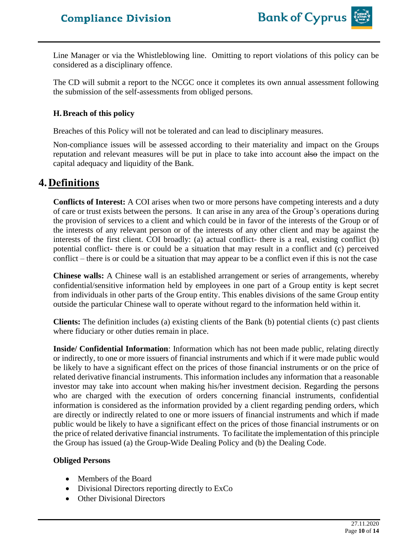

Line Manager or via the Whistleblowing line. Omitting to report violations of this policy can be considered as a disciplinary offence.

The CD will submit a report to the NCGC once it completes its own annual assessment following the submission of the self-assessments from obliged persons.

#### **H.Breach of this policy**

Breaches of this Policy will not be tolerated and can lead to disciplinary measures.

Non-compliance issues will be assessed according to their materiality and impact on the Groups reputation and relevant measures will be put in place to take into account also the impact on the capital adequacy and liquidity of the Bank.

# **4.Definitions**

**Conflicts of Interest:** A COI arises when two or more persons have competing interests and a duty of care or trust exists between the persons. It can arise in any area of the Group's operations during the provision of services to a client and which could be in favor of the interests of the Group or of the interests of any relevant person or of the interests of any other client and may be against the interests of the first client. COI broadly: (a) actual conflict- there is a real, existing conflict (b) potential conflict- there is or could be a situation that may result in a conflict and (c) perceived conflict – there is or could be a situation that may appear to be a conflict even if this is not the case

**Chinese walls:** A Chinese wall is an established arrangement or series of arrangements, whereby confidential/sensitive information held by employees in one part of a Group entity is kept secret from individuals in other parts of the Group entity. This enables divisions of the same Group entity outside the particular Chinese wall to operate without regard to the information held within it.

**Clients:** The definition includes (a) existing clients of the Bank (b) potential clients (c) past clients where fiduciary or other duties remain in place.

**Inside/ Confidential Information**: Information which has not been made public, relating directly or indirectly, to one or more issuers of financial instruments and which if it were made public would be likely to have a significant effect on the prices of those financial instruments or on the price of related derivative financial instruments. This information includes any information that a reasonable investor may take into account when making his/her investment decision. Regarding the persons who are charged with the execution of orders concerning financial instruments, confidential information is considered as the information provided by a client regarding pending orders, which are directly or indirectly related to one or more issuers of financial instruments and which if made public would be likely to have a significant effect on the prices of those financial instruments or on the price of related derivative financial instruments. To facilitate the implementation of this principle the Group has issued (a) the Group-Wide Dealing Policy and (b) the Dealing Code.

#### **Obliged Persons**

- Members of the Board
- Divisional Directors reporting directly to ExCo
- Other Divisional Directors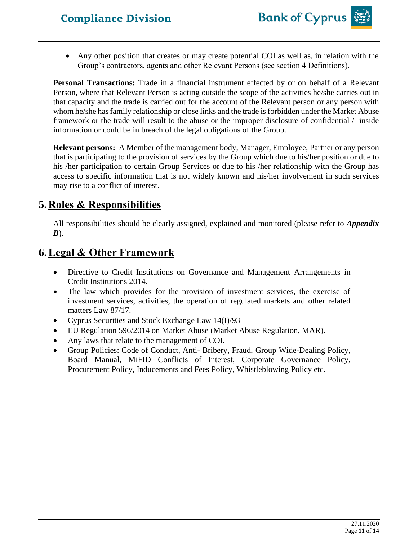• Any other position that creates or may create potential COI as well as, in relation with the Group's contractors, agents and other Relevant Persons (see section 4 Definitions).

**Personal Transactions:** Trade in a financial instrument effected by or on behalf of a Relevant Person, where that Relevant Person is acting outside the scope of the activities he/she carries out in that capacity and the trade is carried out for the account of the Relevant person or any person with whom he/she hasfamily relationship or close links and the trade is forbidden under the Market Abuse framework or the trade will result to the abuse or the improper disclosure of confidential / inside information or could be in breach of the legal obligations of the Group.

**Relevant persons:** A Member of the management body, Manager, Employee, Partner or any person that is participating to the provision of services by the Group which due to his/her position or due to his /her participation to certain Group Services or due to his /her relationship with the Group has access to specific information that is not widely known and his/her involvement in such services may rise to a conflict of interest.

# **5.Roles & Responsibilities**

All responsibilities should be clearly assigned, explained and monitored (please refer to *Appendix B*).

# **6.Legal & Other Framework**

- Directive to Credit Institutions on Governance and Management Arrangements in Credit Institutions 2014.
- The law which provides for the provision of investment services, the exercise of investment services, activities, the operation of regulated markets and other related matters Law 87/17.
- Cyprus Securities and Stock Exchange Law 14(I)/93
- EU Regulation 596/2014 on Market Abuse (Market Abuse Regulation, MAR).
- Any laws that relate to the management of COI.
- Group Policies: Code of Conduct, Anti- Bribery, Fraud, Group Wide-Dealing Policy, Board Manual, MiFID Conflicts of Interest, Corporate Governance Policy, Procurement Policy, Inducements and Fees Policy, Whistleblowing Policy etc.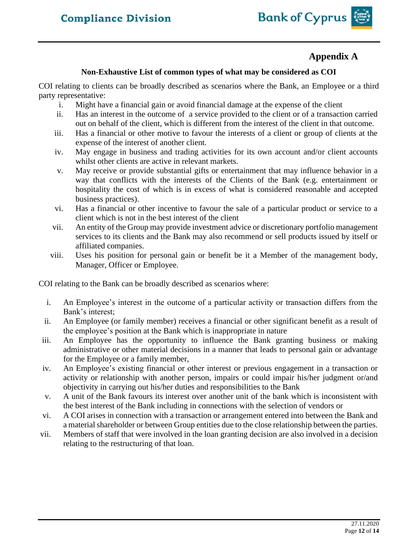

# **Appendix A**

#### **Non-Exhaustive List of common types of what may be considered as COI**

COI relating to clients can be broadly described as scenarios where the Bank, an Employee or a third party representative:

- i. Might have a financial gain or avoid financial damage at the expense of the client
- ii. Has an interest in the outcome of a service provided to the client or of a transaction carried out on behalf of the client, which is different from the interest of the client in that outcome.
- iii. Has a financial or other motive to favour the interests of a client or group of clients at the expense of the interest of another client.
- iv. May engage in business and trading activities for its own account and/or client accounts whilst other clients are active in relevant markets.
- v. May receive or provide substantial gifts or entertainment that may influence behavior in a way that conflicts with the interests of the Clients of the Bank (e.g. entertainment or hospitality the cost of which is in excess of what is considered reasonable and accepted business practices).
- vi. Has a financial or other incentive to favour the sale of a particular product or service to a client which is not in the best interest of the client
- vii. An entity of the Group may provide investment advice or discretionary portfolio management services to its clients and the Bank may also recommend or sell products issued by itself or affiliated companies.
- viii. Uses his position for personal gain or benefit be it a Member of the management body, Manager, Officer or Employee.

COI relating to the Bank can be broadly described as scenarios where:

- i. An Employee's interest in the outcome of a particular activity or transaction differs from the Bank's interest;
- ii. An Employee (or family member) receives a financial or other significant benefit as a result of the employee's position at the Bank which is inappropriate in nature
- iii. An Employee has the opportunity to influence the Bank granting business or making administrative or other material decisions in a manner that leads to personal gain or advantage for the Employee or a family member,
- iv. An Employee's existing financial or other interest or previous engagement in a transaction or activity or relationship with another person, impairs or could impair his/her judgment or/and objectivity in carrying out his/her duties and responsibilities to the Bank
- v. A unit of the Bank favours its interest over another unit of the bank which is inconsistent with the best interest of the Bank including in connections with the selection of vendors or
- vi. A COI arises in connection with a transaction or arrangement entered into between the Bank and a material shareholder or between Group entities due to the close relationship between the parties.
- vii. Members of staff that were involved in the loan granting decision are also involved in a decision relating to the restructuring of that loan.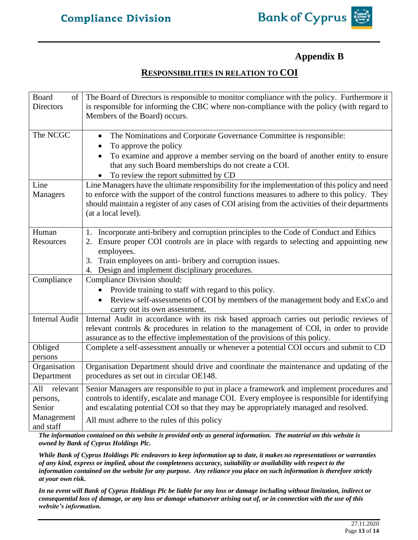

# **Appendix B**

# **RESPONSIBILITIES IN RELATION TO COI**

| Board<br>of           | The Board of Directors is responsible to monitor compliance with the policy. Furthermore it     |
|-----------------------|-------------------------------------------------------------------------------------------------|
| <b>Directors</b>      | is responsible for informing the CBC where non-compliance with the policy (with regard to       |
|                       | Members of the Board) occurs.                                                                   |
|                       |                                                                                                 |
| The NCGC              | The Nominations and Corporate Governance Committee is responsible:<br>$\bullet$                 |
|                       | To approve the policy                                                                           |
|                       | To examine and approve a member serving on the board of another entity to ensure                |
|                       | that any such Board memberships do not create a COI.                                            |
|                       | To review the report submitted by CD                                                            |
| Line                  | Line Managers have the ultimate responsibility for the implementation of this policy and need   |
| <b>Managers</b>       | to enforce with the support of the control functions measures to adhere to this policy. They    |
|                       | should maintain a register of any cases of COI arising from the activities of their departments |
|                       | (at a local level).                                                                             |
| Human                 | Incorporate anti-bribery and corruption principles to the Code of Conduct and Ethics<br>1.      |
| Resources             | 2. Ensure proper COI controls are in place with regards to selecting and appointing new         |
|                       | employees.                                                                                      |
|                       | Train employees on anti- bribery and corruption issues.<br>3.                                   |
|                       | 4. Design and implement disciplinary procedures.                                                |
| Compliance            | Compliance Division should:                                                                     |
|                       | Provide training to staff with regard to this policy.<br>$\bullet$                              |
|                       | Review self-assessments of COI by members of the management body and ExCo and<br>$\bullet$      |
|                       | carry out its own assessment.                                                                   |
| <b>Internal Audit</b> | Internal Audit in accordance with its risk based approach carries out periodic reviews of       |
|                       | relevant controls & procedures in relation to the management of COI, in order to provide        |
|                       | assurance as to the effective implementation of the provisions of this policy.                  |
| Obliged               | Complete a self-assessment annually or whenever a potential COI occurs and submit to CD         |
| persons               |                                                                                                 |
| Organisation          | Organisation Department should drive and coordinate the maintenance and updating of the         |
| Department            | procedures as set out in circular OE148.                                                        |
| All<br>relevant       | Senior Managers are responsible to put in place a framework and implement procedures and        |
| persons,              | controls to identify, escalate and manage COI. Every employee is responsible for identifying    |
| Senior                | and escalating potential COI so that they may be appropriately managed and resolved.            |
| Management            | All must adhere to the rules of this policy                                                     |
| and staff             |                                                                                                 |

*The information contained on this website is provided only as general information. The material on this website is owned by Bank of Cyprus Holdings Plc.*

*While Bank of Cyprus Holdings Plc endeavors to keep information up to date, it makes no representations or warranties of any kind, express or implied, about the completeness accuracy, suitability or availability with respect to the information contained on the website for any purpose. Any reliance you place on such information is therefore strictly at your own risk.* 

*In no event will Bank of Cyprus Holdings Plc be liable for any loss or damage including without limitation, indirect or consequential loss of damage, or any loss or damage whatsoever arising out of, or in connection with the use of this website's information.*